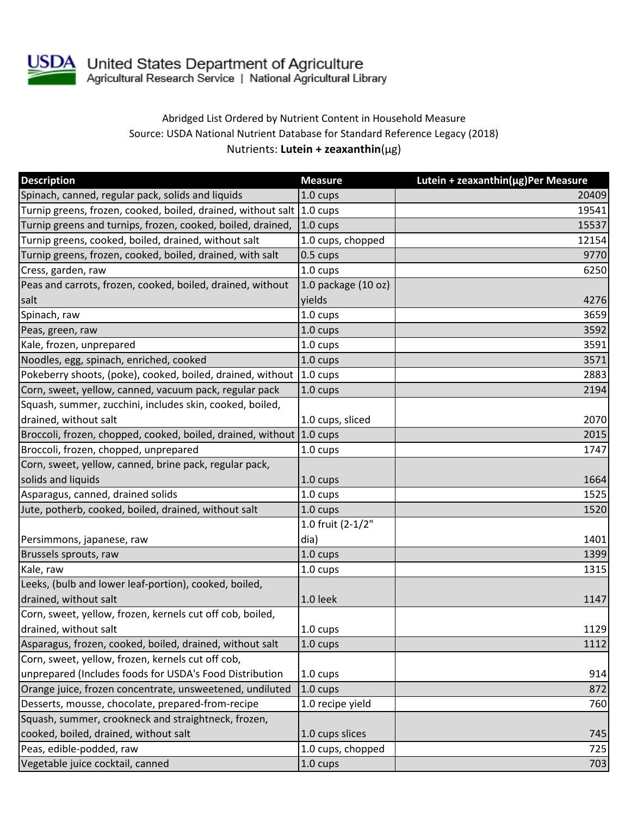

## Abridged List Ordered by Nutrient Content in Household Measure Source: USDA National Nutrient Database for Standard Reference Legacy (2018) Nutrients: **Lutein + zeaxanthin**(µg)

| <b>Description</b>                                                    | <b>Measure</b>          | Lutein + zeaxanthin(µg)Per Measure |
|-----------------------------------------------------------------------|-------------------------|------------------------------------|
| Spinach, canned, regular pack, solids and liquids                     | 1.0 cups                | 20409                              |
| Turnip greens, frozen, cooked, boiled, drained, without salt 1.0 cups |                         | 19541                              |
| Turnip greens and turnips, frozen, cooked, boiled, drained,           | $1.0 \text{ cups}$      | 15537                              |
| Turnip greens, cooked, boiled, drained, without salt                  | 1.0 cups, chopped       | 12154                              |
| Turnip greens, frozen, cooked, boiled, drained, with salt             | $0.5 \text{ cups}$      | 9770                               |
| Cress, garden, raw                                                    | 1.0 cups                | 6250                               |
| Peas and carrots, frozen, cooked, boiled, drained, without            | $1.0$ package $(10$ oz) |                                    |
| salt                                                                  | yields                  | 4276                               |
| Spinach, raw                                                          | $1.0 \text{ cups}$      | 3659                               |
| Peas, green, raw                                                      | 1.0 cups                | 3592                               |
| Kale, frozen, unprepared                                              | 1.0 cups                | 3591                               |
| Noodles, egg, spinach, enriched, cooked                               | 1.0 cups                | 3571                               |
| Pokeberry shoots, (poke), cooked, boiled, drained, without 1.0 cups   |                         | 2883                               |
| Corn, sweet, yellow, canned, vacuum pack, regular pack                | 1.0 cups                | 2194                               |
| Squash, summer, zucchini, includes skin, cooked, boiled,              |                         |                                    |
| drained, without salt                                                 | 1.0 cups, sliced        | 2070                               |
| Broccoli, frozen, chopped, cooked, boiled, drained, without 1.0 cups  |                         | 2015                               |
| Broccoli, frozen, chopped, unprepared                                 | 1.0 cups                | 1747                               |
| Corn, sweet, yellow, canned, brine pack, regular pack,                |                         |                                    |
| solids and liquids                                                    | 1.0 cups                | 1664                               |
| Asparagus, canned, drained solids                                     | 1.0 cups                | 1525                               |
| Jute, potherb, cooked, boiled, drained, without salt                  | 1.0 cups                | 1520                               |
|                                                                       | 1.0 fruit (2-1/2"       |                                    |
| Persimmons, japanese, raw                                             | dia)                    | 1401                               |
| Brussels sprouts, raw                                                 | 1.0 cups                | 1399                               |
| Kale, raw                                                             | 1.0 cups                | 1315                               |
| Leeks, (bulb and lower leaf-portion), cooked, boiled,                 |                         |                                    |
| drained, without salt                                                 | 1.0 leek                | 1147                               |
| Corn, sweet, yellow, frozen, kernels cut off cob, boiled,             |                         |                                    |
| drained, without salt                                                 | 1.0 cups                | 1129                               |
| Asparagus, frozen, cooked, boiled, drained, without salt              | 1.0 cups                | 1112                               |
| Corn, sweet, yellow, frozen, kernels cut off cob,                     |                         |                                    |
| unprepared (Includes foods for USDA's Food Distribution               | 1.0 cups                | 914                                |
| Orange juice, frozen concentrate, unsweetened, undiluted              | $1.0 \text{ cups}$      | 872                                |
| Desserts, mousse, chocolate, prepared-from-recipe                     | 1.0 recipe yield        | 760                                |
| Squash, summer, crookneck and straightneck, frozen,                   |                         |                                    |
| cooked, boiled, drained, without salt                                 | 1.0 cups slices         | 745                                |
| Peas, edible-podded, raw                                              | 1.0 cups, chopped       | 725                                |
| Vegetable juice cocktail, canned                                      | 1.0 cups                | 703                                |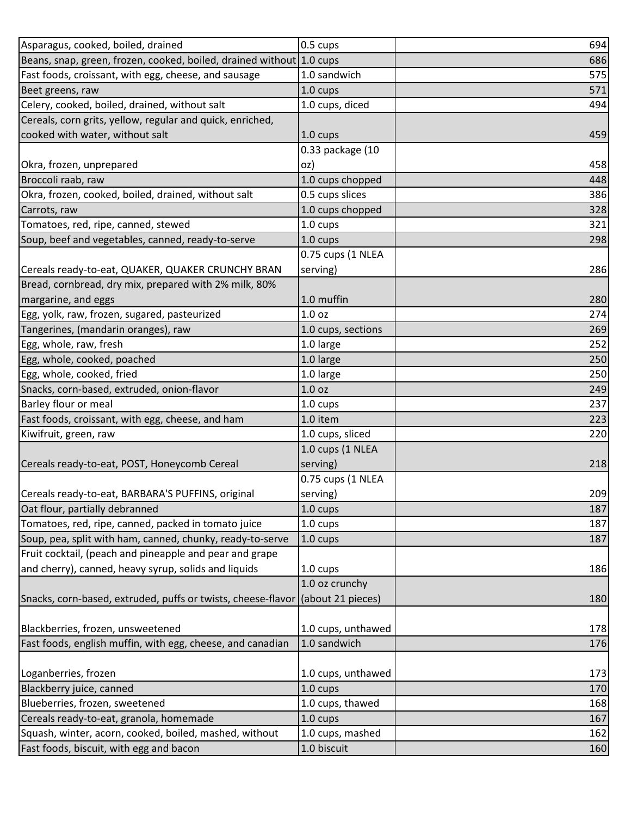| Asparagus, cooked, boiled, drained                                             | 0.5 cups           | 694 |
|--------------------------------------------------------------------------------|--------------------|-----|
| Beans, snap, green, frozen, cooked, boiled, drained without 1.0 cups           |                    | 686 |
| Fast foods, croissant, with egg, cheese, and sausage                           | 1.0 sandwich       | 575 |
| Beet greens, raw                                                               | 1.0 cups           | 571 |
| Celery, cooked, boiled, drained, without salt                                  | 1.0 cups, diced    | 494 |
| Cereals, corn grits, yellow, regular and quick, enriched,                      |                    |     |
| cooked with water, without salt                                                | 1.0 cups           | 459 |
|                                                                                | 0.33 package (10   |     |
| Okra, frozen, unprepared                                                       | oz)                | 458 |
| Broccoli raab, raw                                                             | 1.0 cups chopped   | 448 |
| Okra, frozen, cooked, boiled, drained, without salt                            | 0.5 cups slices    | 386 |
| Carrots, raw                                                                   | 1.0 cups chopped   | 328 |
| Tomatoes, red, ripe, canned, stewed                                            | 1.0 cups           | 321 |
| Soup, beef and vegetables, canned, ready-to-serve                              | 1.0 cups           | 298 |
|                                                                                | 0.75 cups (1 NLEA  |     |
| Cereals ready-to-eat, QUAKER, QUAKER CRUNCHY BRAN                              | serving)           | 286 |
| Bread, cornbread, dry mix, prepared with 2% milk, 80%                          |                    |     |
| margarine, and eggs                                                            | 1.0 muffin         | 280 |
| Egg, yolk, raw, frozen, sugared, pasteurized                                   | 1.0 <sub>oz</sub>  | 274 |
| Tangerines, (mandarin oranges), raw                                            | 1.0 cups, sections | 269 |
| Egg, whole, raw, fresh                                                         | 1.0 large          | 252 |
| Egg, whole, cooked, poached                                                    | 1.0 large          | 250 |
| Egg, whole, cooked, fried                                                      | 1.0 large          | 250 |
| Snacks, corn-based, extruded, onion-flavor                                     | 1.0 <sub>oz</sub>  | 249 |
| Barley flour or meal                                                           | 1.0 cups           | 237 |
| Fast foods, croissant, with egg, cheese, and ham                               | 1.0 item           | 223 |
| Kiwifruit, green, raw                                                          | 1.0 cups, sliced   | 220 |
|                                                                                | 1.0 cups (1 NLEA   |     |
| Cereals ready-to-eat, POST, Honeycomb Cereal                                   | serving)           | 218 |
|                                                                                | 0.75 cups (1 NLEA  |     |
| Cereals ready-to-eat, BARBARA'S PUFFINS, original                              | serving)           | 209 |
| Oat flour, partially debranned                                                 | 1.0 cups           | 187 |
| Tomatoes, red, ripe, canned, packed in tomato juice                            | 1.0 cups           | 187 |
| Soup, pea, split with ham, canned, chunky, ready-to-serve                      | 1.0 cups           | 187 |
| Fruit cocktail, (peach and pineapple and pear and grape                        |                    |     |
| and cherry), canned, heavy syrup, solids and liquids                           | 1.0 cups           | 186 |
|                                                                                | 1.0 oz crunchy     |     |
| Snacks, corn-based, extruded, puffs or twists, cheese-flavor (about 21 pieces) |                    | 180 |
|                                                                                |                    |     |
| Blackberries, frozen, unsweetened                                              | 1.0 cups, unthawed | 178 |
| Fast foods, english muffin, with egg, cheese, and canadian                     | 1.0 sandwich       | 176 |
|                                                                                |                    |     |
| Loganberries, frozen                                                           | 1.0 cups, unthawed | 173 |
| Blackberry juice, canned                                                       | 1.0 cups           | 170 |
| Blueberries, frozen, sweetened                                                 | 1.0 cups, thawed   | 168 |
| Cereals ready-to-eat, granola, homemade                                        | 1.0 cups           | 167 |
| Squash, winter, acorn, cooked, boiled, mashed, without                         | 1.0 cups, mashed   | 162 |
| Fast foods, biscuit, with egg and bacon                                        | 1.0 biscuit        | 160 |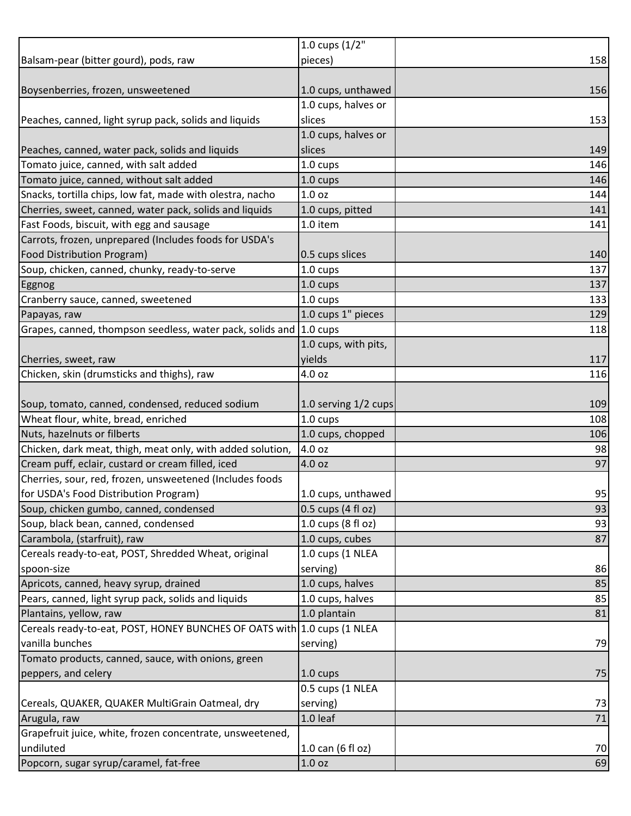|                                                                         | 1.0 cups (1/2"       |     |
|-------------------------------------------------------------------------|----------------------|-----|
| Balsam-pear (bitter gourd), pods, raw                                   | pieces)              | 158 |
|                                                                         |                      |     |
| Boysenberries, frozen, unsweetened                                      | 1.0 cups, unthawed   | 156 |
|                                                                         | 1.0 cups, halves or  |     |
| Peaches, canned, light syrup pack, solids and liquids                   | slices               | 153 |
|                                                                         | 1.0 cups, halves or  |     |
| Peaches, canned, water pack, solids and liquids                         | slices               | 149 |
| Tomato juice, canned, with salt added                                   | 1.0 cups             | 146 |
| Tomato juice, canned, without salt added                                | 1.0 cups             | 146 |
| Snacks, tortilla chips, low fat, made with olestra, nacho               | 1.0 <sub>oz</sub>    | 144 |
| Cherries, sweet, canned, water pack, solids and liquids                 | 1.0 cups, pitted     | 141 |
| Fast Foods, biscuit, with egg and sausage                               | 1.0 item             | 141 |
| Carrots, frozen, unprepared (Includes foods for USDA's                  |                      |     |
| <b>Food Distribution Program)</b>                                       | 0.5 cups slices      | 140 |
| Soup, chicken, canned, chunky, ready-to-serve                           | 1.0 cups             | 137 |
| <b>Eggnog</b>                                                           | 1.0 cups             | 137 |
| Cranberry sauce, canned, sweetened                                      | 1.0 cups             | 133 |
| Papayas, raw                                                            | 1.0 cups 1" pieces   | 129 |
| Grapes, canned, thompson seedless, water pack, solids and 1.0 cups      |                      | 118 |
|                                                                         | 1.0 cups, with pits, |     |
| Cherries, sweet, raw                                                    | yields               | 117 |
| Chicken, skin (drumsticks and thighs), raw                              | 4.0 oz               | 116 |
|                                                                         |                      |     |
| Soup, tomato, canned, condensed, reduced sodium                         | 1.0 serving 1/2 cups | 109 |
| Wheat flour, white, bread, enriched                                     | 1.0 cups             | 108 |
| Nuts, hazelnuts or filberts                                             | 1.0 cups, chopped    | 106 |
| Chicken, dark meat, thigh, meat only, with added solution,              | 4.0 oz               | 98  |
| Cream puff, eclair, custard or cream filled, iced                       | 4.0 oz               | 97  |
| Cherries, sour, red, frozen, unsweetened (Includes foods                |                      |     |
| for USDA's Food Distribution Program)                                   | 1.0 cups, unthawed   | 95  |
| Soup, chicken gumbo, canned, condensed                                  | 0.5 cups (4 fl oz)   | 93  |
| Soup, black bean, canned, condensed                                     | 1.0 cups (8 fl oz)   | 93  |
| Carambola, (starfruit), raw                                             | 1.0 cups, cubes      | 87  |
| Cereals ready-to-eat, POST, Shredded Wheat, original                    | 1.0 cups (1 NLEA     |     |
| spoon-size                                                              | serving)             | 86  |
| Apricots, canned, heavy syrup, drained                                  | 1.0 cups, halves     | 85  |
| Pears, canned, light syrup pack, solids and liquids                     | 1.0 cups, halves     | 85  |
| Plantains, yellow, raw                                                  | 1.0 plantain         | 81  |
| Cereals ready-to-eat, POST, HONEY BUNCHES OF OATS with 1.0 cups (1 NLEA |                      |     |
| vanilla bunches                                                         | serving)             | 79  |
| Tomato products, canned, sauce, with onions, green                      |                      |     |
| peppers, and celery                                                     | 1.0 cups             | 75  |
|                                                                         | 0.5 cups (1 NLEA     |     |
| Cereals, QUAKER, QUAKER MultiGrain Oatmeal, dry                         | serving)             | 73  |
| Arugula, raw                                                            | 1.0 leaf             | 71  |
| Grapefruit juice, white, frozen concentrate, unsweetened,               |                      |     |
| undiluted                                                               | 1.0 can (6 fl oz)    | 70  |
| Popcorn, sugar syrup/caramel, fat-free                                  | 1.0 <sub>oz</sub>    | 69  |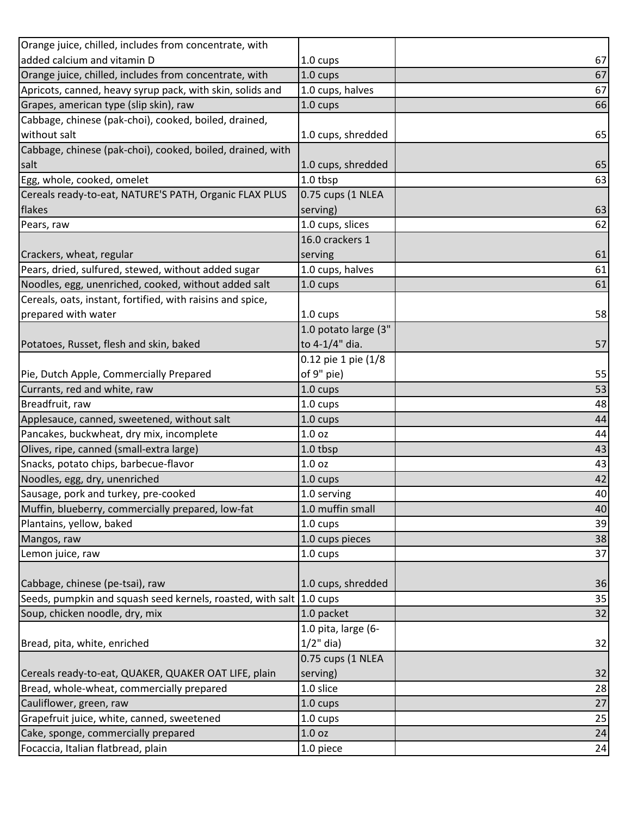| Orange juice, chilled, includes from concentrate, with              |                      |                 |
|---------------------------------------------------------------------|----------------------|-----------------|
| added calcium and vitamin D                                         | 1.0 cups             | 67              |
| Orange juice, chilled, includes from concentrate, with              | 1.0 cups             | 67              |
| Apricots, canned, heavy syrup pack, with skin, solids and           | 1.0 cups, halves     | 67              |
| Grapes, american type (slip skin), raw                              | 1.0 cups             | 66              |
| Cabbage, chinese (pak-choi), cooked, boiled, drained,               |                      |                 |
| without salt                                                        | 1.0 cups, shredded   | 65              |
| Cabbage, chinese (pak-choi), cooked, boiled, drained, with          |                      |                 |
| salt                                                                | 1.0 cups, shredded   | 65              |
| Egg, whole, cooked, omelet                                          | 1.0 tbsp             | 63              |
| Cereals ready-to-eat, NATURE'S PATH, Organic FLAX PLUS              | 0.75 cups (1 NLEA    |                 |
| flakes                                                              | serving)             | 63              |
| Pears, raw                                                          | 1.0 cups, slices     | 62              |
|                                                                     | 16.0 crackers 1      |                 |
| Crackers, wheat, regular                                            | serving              | 61              |
| Pears, dried, sulfured, stewed, without added sugar                 | 1.0 cups, halves     | 61              |
| Noodles, egg, unenriched, cooked, without added salt                | 1.0 cups             | 61              |
| Cereals, oats, instant, fortified, with raisins and spice,          |                      |                 |
| prepared with water                                                 | 1.0 cups             | 58              |
|                                                                     | 1.0 potato large (3" |                 |
| Potatoes, Russet, flesh and skin, baked                             | to 4-1/4" dia.       | 57              |
|                                                                     | 0.12 pie 1 pie (1/8  |                 |
| Pie, Dutch Apple, Commercially Prepared                             | of 9" pie)           | 55              |
| Currants, red and white, raw                                        | 1.0 cups             | 53              |
| Breadfruit, raw                                                     | 1.0 cups             | 48              |
| Applesauce, canned, sweetened, without salt                         | 1.0 cups             | 44              |
| Pancakes, buckwheat, dry mix, incomplete                            | 1.0 oz               | 44              |
| Olives, ripe, canned (small-extra large)                            | 1.0 tbsp             | 43              |
| Snacks, potato chips, barbecue-flavor                               | 1.0 oz               | 43              |
| Noodles, egg, dry, unenriched                                       | 1.0 cups             | 42              |
| Sausage, pork and turkey, pre-cooked                                | 1.0 serving          | 40              |
| Muffin, blueberry, commercially prepared, low-fat                   | 1.0 muffin small     | 40              |
| Plantains, yellow, baked                                            | 1.0 cups             | 39              |
| Mangos, raw                                                         | 1.0 cups pieces      | 38              |
| Lemon juice, raw                                                    | 1.0 cups             | 37              |
|                                                                     |                      |                 |
| Cabbage, chinese (pe-tsai), raw                                     | 1.0 cups, shredded   | 36              |
| Seeds, pumpkin and squash seed kernels, roasted, with salt 1.0 cups |                      | 35              |
| Soup, chicken noodle, dry, mix                                      | 1.0 packet           | $\overline{32}$ |
|                                                                     | 1.0 pita, large (6-  |                 |
| Bread, pita, white, enriched                                        | $1/2$ " dia)         | 32              |
|                                                                     | 0.75 cups (1 NLEA    |                 |
| Cereals ready-to-eat, QUAKER, QUAKER OAT LIFE, plain                | serving)             | 32              |
| Bread, whole-wheat, commercially prepared                           | 1.0 slice            | 28              |
| Cauliflower, green, raw                                             | 1.0 cups             | 27              |
| Grapefruit juice, white, canned, sweetened                          | 1.0 cups             | 25              |
| Cake, sponge, commercially prepared                                 | 1.0 oz               | 24              |
| Focaccia, Italian flatbread, plain                                  | 1.0 piece            | 24              |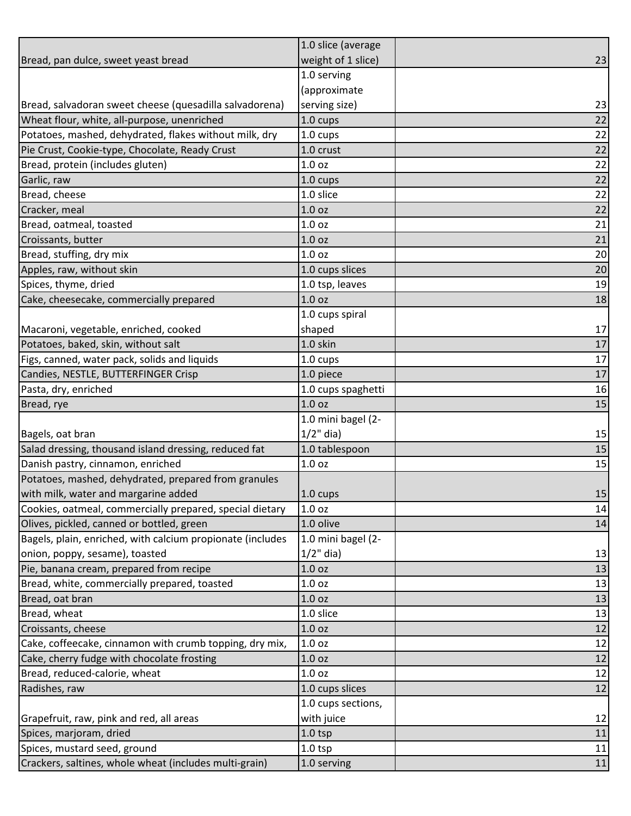|                                                            | 1.0 slice (average |    |
|------------------------------------------------------------|--------------------|----|
| Bread, pan dulce, sweet yeast bread                        | weight of 1 slice) | 23 |
|                                                            | 1.0 serving        |    |
|                                                            | (approximate       |    |
| Bread, salvadoran sweet cheese (quesadilla salvadorena)    | serving size)      | 23 |
| Wheat flour, white, all-purpose, unenriched                | 1.0 cups           | 22 |
| Potatoes, mashed, dehydrated, flakes without milk, dry     | 1.0 cups           | 22 |
| Pie Crust, Cookie-type, Chocolate, Ready Crust             | 1.0 crust          | 22 |
| Bread, protein (includes gluten)                           | 1.0 <sub>oz</sub>  | 22 |
| Garlic, raw                                                | 1.0 cups           | 22 |
| Bread, cheese                                              | 1.0 slice          | 22 |
| Cracker, meal                                              | 1.0 <sub>oz</sub>  | 22 |
| Bread, oatmeal, toasted                                    | 1.0 <sub>oz</sub>  | 21 |
| Croissants, butter                                         | 1.0 <sub>oz</sub>  | 21 |
| Bread, stuffing, dry mix                                   | 1.0 <sub>oz</sub>  | 20 |
| Apples, raw, without skin                                  | 1.0 cups slices    | 20 |
| Spices, thyme, dried                                       | 1.0 tsp, leaves    | 19 |
| Cake, cheesecake, commercially prepared                    | 1.0 <sub>oz</sub>  | 18 |
|                                                            | 1.0 cups spiral    |    |
| Macaroni, vegetable, enriched, cooked                      | shaped             | 17 |
| Potatoes, baked, skin, without salt                        | 1.0 skin           | 17 |
| Figs, canned, water pack, solids and liquids               | 1.0 cups           | 17 |
| Candies, NESTLE, BUTTERFINGER Crisp                        | 1.0 piece          | 17 |
| Pasta, dry, enriched                                       | 1.0 cups spaghetti | 16 |
| Bread, rye                                                 | 1.0 <sub>oz</sub>  | 15 |
|                                                            | 1.0 mini bagel (2- |    |
| Bagels, oat bran                                           | $1/2$ " dia)       | 15 |
| Salad dressing, thousand island dressing, reduced fat      | 1.0 tablespoon     | 15 |
| Danish pastry, cinnamon, enriched                          | 1.0 oz             | 15 |
| Potatoes, mashed, dehydrated, prepared from granules       |                    |    |
| with milk, water and margarine added                       | 1.0 cups           | 15 |
| Cookies, oatmeal, commercially prepared, special dietary   | 1.0 oz             | 14 |
| Olives, pickled, canned or bottled, green                  | 1.0 olive          | 14 |
| Bagels, plain, enriched, with calcium propionate (includes | 1.0 mini bagel (2- |    |
| onion, poppy, sesame), toasted                             | $1/2$ " dia)       | 13 |
| Pie, banana cream, prepared from recipe                    | 1.0 oz             | 13 |
| Bread, white, commercially prepared, toasted               | 1.0 <sub>oz</sub>  | 13 |
| Bread, oat bran                                            | 1.0 oz             | 13 |
| Bread, wheat                                               | 1.0 slice          | 13 |
| Croissants, cheese                                         | 1.0 <sub>oz</sub>  | 12 |
| Cake, coffeecake, cinnamon with crumb topping, dry mix,    | 1.0 oz             | 12 |
| Cake, cherry fudge with chocolate frosting                 | 1.0 <sub>oz</sub>  | 12 |
| Bread, reduced-calorie, wheat                              | 1.0 oz             | 12 |
| Radishes, raw                                              | 1.0 cups slices    | 12 |
|                                                            | 1.0 cups sections, |    |
| Grapefruit, raw, pink and red, all areas                   | with juice         | 12 |
| Spices, marjoram, dried                                    | $1.0$ tsp          | 11 |
| Spices, mustard seed, ground                               | $1.0$ tsp          | 11 |
| Crackers, saltines, whole wheat (includes multi-grain)     | 1.0 serving        | 11 |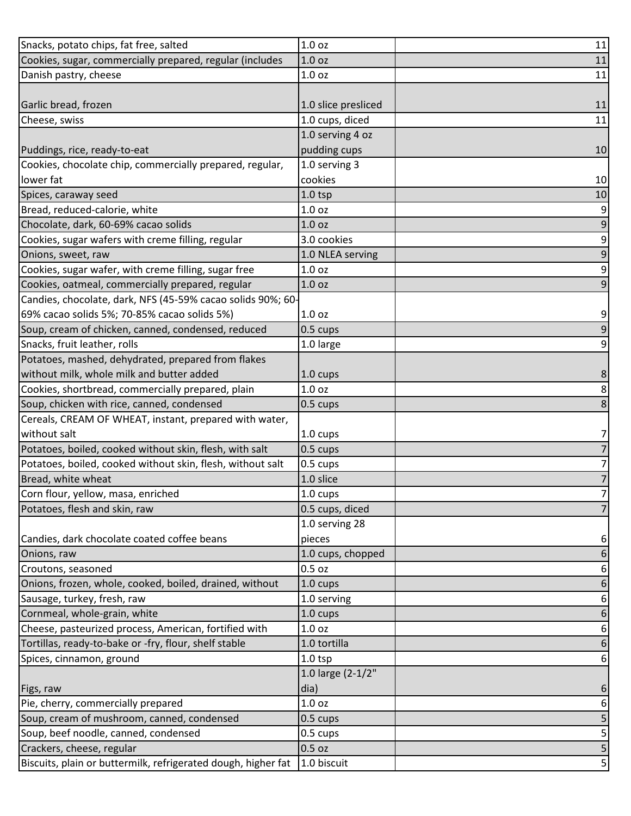| Snacks, potato chips, fat free, salted                        | 1.0 <sub>oz</sub>   | 11             |
|---------------------------------------------------------------|---------------------|----------------|
| Cookies, sugar, commercially prepared, regular (includes      | 1.0 <sub>oz</sub>   | 11             |
| Danish pastry, cheese                                         | 1.0 oz              | 11             |
|                                                               |                     |                |
| Garlic bread, frozen                                          | 1.0 slice presliced | 11             |
| Cheese, swiss                                                 | 1.0 cups, diced     | 11             |
|                                                               | 1.0 serving 4 oz    |                |
| Puddings, rice, ready-to-eat                                  | pudding cups        | 10             |
| Cookies, chocolate chip, commercially prepared, regular,      | 1.0 serving 3       |                |
| lower fat                                                     | cookies             | 10             |
| Spices, caraway seed                                          | $1.0$ tsp           | 10             |
| Bread, reduced-calorie, white                                 | 1.0 oz              | 9              |
| Chocolate, dark, 60-69% cacao solids                          | 1.0 <sub>oz</sub>   | 9              |
| Cookies, sugar wafers with creme filling, regular             | 3.0 cookies         | 9              |
| Onions, sweet, raw                                            | 1.0 NLEA serving    | 9              |
| Cookies, sugar wafer, with creme filling, sugar free          | 1.0 <sub>oz</sub>   | $\overline{9}$ |
| Cookies, oatmeal, commercially prepared, regular              | 1.0 <sub>oz</sub>   | 9              |
| Candies, chocolate, dark, NFS (45-59% cacao solids 90%; 60-   |                     |                |
| 69% cacao solids 5%; 70-85% cacao solids 5%)                  | 1.0 oz              | 9              |
| Soup, cream of chicken, canned, condensed, reduced            | 0.5 cups            | 9              |
| Snacks, fruit leather, rolls                                  | 1.0 large           | 9              |
| Potatoes, mashed, dehydrated, prepared from flakes            |                     |                |
| without milk, whole milk and butter added                     | 1.0 cups            | 8              |
| Cookies, shortbread, commercially prepared, plain             | 1.0 oz              | 8              |
| Soup, chicken with rice, canned, condensed                    | $0.5$ cups          | 8              |
| Cereals, CREAM OF WHEAT, instant, prepared with water,        |                     |                |
| without salt                                                  | 1.0 cups            | 7              |
| Potatoes, boiled, cooked without skin, flesh, with salt       | 0.5 cups            | 7              |
| Potatoes, boiled, cooked without skin, flesh, without salt    | 0.5 cups            | 7              |
| Bread, white wheat                                            | 1.0 slice           | 7              |
| Corn flour, yellow, masa, enriched                            | 1.0 cups            | 7              |
| Potatoes, flesh and skin, raw                                 | 0.5 cups, diced     | 7              |
|                                                               | 1.0 serving 28      |                |
| Candies, dark chocolate coated coffee beans                   | pieces              | 6              |
| Onions, raw                                                   | 1.0 cups, chopped   | 6              |
| Croutons, seasoned                                            | $0.5$ oz            | 6              |
| Onions, frozen, whole, cooked, boiled, drained, without       | 1.0 cups            | 6              |
| Sausage, turkey, fresh, raw                                   | 1.0 serving         | 6              |
| Cornmeal, whole-grain, white                                  | 1.0 cups            | 6              |
| Cheese, pasteurized process, American, fortified with         | $1.0$ oz            | 6              |
| Tortillas, ready-to-bake or -fry, flour, shelf stable         | 1.0 tortilla        | 6              |
| Spices, cinnamon, ground                                      | $1.0$ tsp           | 6              |
|                                                               | 1.0 large (2-1/2"   |                |
| Figs, raw                                                     | dia)                | 6              |
| Pie, cherry, commercially prepared                            | 1.0 oz              | 6              |
| Soup, cream of mushroom, canned, condensed                    | 0.5 cups            | 5              |
| Soup, beef noodle, canned, condensed                          | 0.5 cups            | 5              |
| Crackers, cheese, regular                                     | $0.5$ oz            | 5              |
| Biscuits, plain or buttermilk, refrigerated dough, higher fat | 1.0 biscuit         | 5              |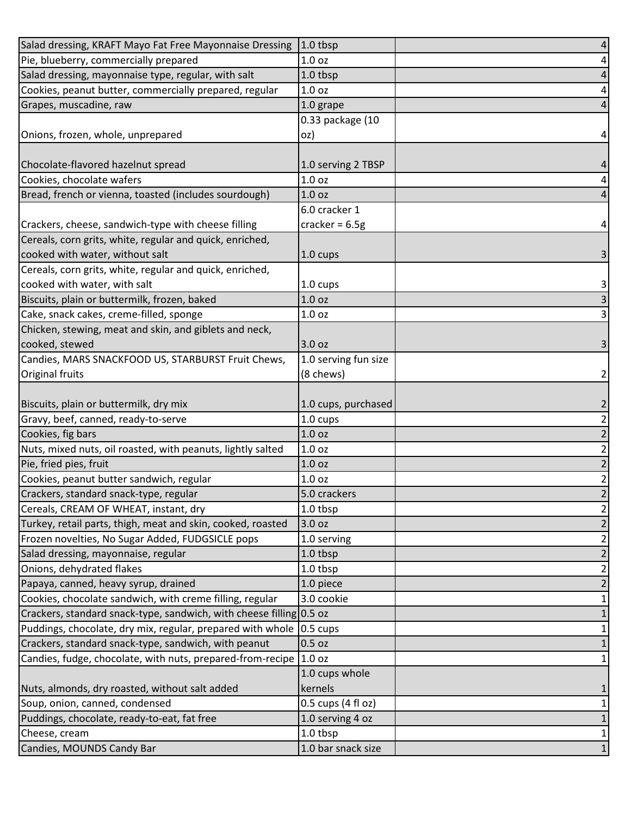| Salad dressing, KRAFT Mayo Fat Free Mayonnaise Dressing               | $1.0$ tbsp           | 4                       |
|-----------------------------------------------------------------------|----------------------|-------------------------|
| Pie, blueberry, commercially prepared                                 | 1.0 <sub>oz</sub>    | 4                       |
| Salad dressing, mayonnaise type, regular, with salt                   | 1.0 tbsp             | 4                       |
| Cookies, peanut butter, commercially prepared, regular                | 1.0 oz               | 4                       |
| Grapes, muscadine, raw                                                | 1.0 grape            |                         |
|                                                                       | 0.33 package (10     |                         |
| Onions, frozen, whole, unprepared                                     | oz)                  | 4                       |
|                                                                       |                      |                         |
| Chocolate-flavored hazelnut spread                                    | 1.0 serving 2 TBSP   | 4                       |
| Cookies, chocolate wafers                                             | 1.0 oz               | 4                       |
| Bread, french or vienna, toasted (includes sourdough)                 | 1.0 <sub>oz</sub>    | 4                       |
|                                                                       | 6.0 cracker 1        |                         |
| Crackers, cheese, sandwich-type with cheese filling                   | cracker = $6.5g$     | 4                       |
| Cereals, corn grits, white, regular and quick, enriched,              |                      |                         |
| cooked with water, without salt                                       | 1.0 cups             | 3                       |
| Cereals, corn grits, white, regular and quick, enriched,              |                      |                         |
| cooked with water, with salt                                          | 1.0 cups             | 3                       |
| Biscuits, plain or buttermilk, frozen, baked                          | 1.0 <sub>oz</sub>    | 3                       |
| Cake, snack cakes, creme-filled, sponge                               | 1.0 <sub>oz</sub>    | 3                       |
| Chicken, stewing, meat and skin, and giblets and neck,                |                      |                         |
| cooked, stewed                                                        | 3.0 oz               | 3                       |
| Candies, MARS SNACKFOOD US, STARBURST Fruit Chews,                    | 1.0 serving fun size |                         |
| Original fruits                                                       | (8 chews)            | 2                       |
|                                                                       |                      |                         |
| Biscuits, plain or buttermilk, dry mix                                | 1.0 cups, purchased  | 2                       |
| Gravy, beef, canned, ready-to-serve                                   | 1.0 cups             | $\overline{2}$          |
| Cookies, fig bars                                                     | 1.0 oz               | 2                       |
| Nuts, mixed nuts, oil roasted, with peanuts, lightly salted           | $1.0$ oz             | $\overline{2}$          |
| Pie, fried pies, fruit                                                | 1.0 <sub>oz</sub>    | 2                       |
| Cookies, peanut butter sandwich, regular                              | 1.0 <sub>oz</sub>    | $\overline{\mathbf{c}}$ |
| Crackers, standard snack-type, regular                                | 5.0 crackers         | $\overline{2}$          |
| Cereals, CREAM OF WHEAT, instant, dry                                 | 1.0 tbsp             | $\overline{\mathbf{c}}$ |
| Turkey, retail parts, thigh, meat and skin, cooked, roasted           | 3.0 oz               | 2                       |
| Frozen novelties, No Sugar Added, FUDGSICLE pops                      | 1.0 serving          | 2                       |
| Salad dressing, mayonnaise, regular                                   | 1.0 tbsp             | 2                       |
| Onions, dehydrated flakes                                             | 1.0 tbsp             | 2                       |
| Papaya, canned, heavy syrup, drained                                  | 1.0 piece            | 2                       |
| Cookies, chocolate sandwich, with creme filling, regular              | 3.0 cookie           | 1                       |
| Crackers, standard snack-type, sandwich, with cheese filling 0.5 oz   |                      |                         |
| Puddings, chocolate, dry mix, regular, prepared with whole   0.5 cups |                      | 1                       |
| Crackers, standard snack-type, sandwich, with peanut                  | $0.5$ oz             |                         |
| Candies, fudge, chocolate, with nuts, prepared-from-recipe            | 1.0 <sub>oz</sub>    |                         |
|                                                                       | 1.0 cups whole       |                         |
| Nuts, almonds, dry roasted, without salt added                        | kernels              |                         |
| Soup, onion, canned, condensed                                        | 0.5 cups (4 fl oz)   | 1                       |
| Puddings, chocolate, ready-to-eat, fat free                           | 1.0 serving 4 oz     |                         |
| Cheese, cream                                                         | 1.0 tbsp             | 1                       |
| Candies, MOUNDS Candy Bar                                             | 1.0 bar snack size   | $\mathbf{1}$            |